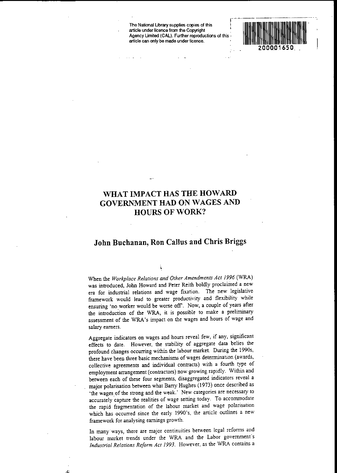**The National Ubrary supplies copies of this r article under licence from the Copyright** . Agency Umited (CAL). Further reproductions of this· **article can only be made under licence.**



## **WHAT IMPACT HAS THE HOWARD GOVERNMENT HAD ON WAGES AND HOURS OF WORK?**

## **John Buchanan, Ron Callus and Chris Briggs**

When the *Workplace Relations and Other Amendments Act* 1996 (WRA) was introduced, John Howard and Peter Reith boldly proclaimed a new era for industrial relations and wage fixation. The new legislative framework would lead to greater productivity and flexibility while ensuring 'no worker would be worse off'. Now, a couple of years after the introduction of the WRA, it is possible to make a preliminary assessment of the WRA's impact on the wages and hours of wage and salary earners.

Aggregate indicators on wages and hours reveal few, if any, significant effects to date. However, the stability of aggregate data belies the profound changes occurring within the labour market. During the 1990s, there have been three basic mechanisms of wages determination (awards, collective agreements and individual contracts) with a fourth type of employment arrangement (contractors) now growing rapidly. Within and between each of these four segments, disaggregated indicators reveal a major polarisation between what Barry Hughes (1973) once described as 'the wages of the strong and the weak.' New categories are necessary to accurately capture the realities of wage serring today. To accommodate the rapid fragmentation of the labour market and wage polarisation which has occurred since the early 1990's, the article outlines a new framework for analysing earnings growth.

**In many·ways, there are major continuities between legal reforms and** labour market trends under the WRA and the Labor government's *Industrial Relations Reform Act* 1993. However, as the WRA contains a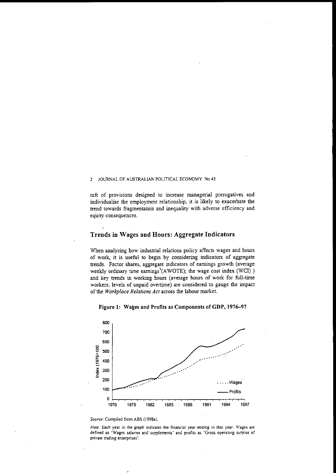raft of provisions designed to increase managerial prerogatives and individualise the employment relationship, it is likely to exacerbate the trend towards fragmentation and inequality with adverse efficiency and eq'uity consequences.

## Trends in Wages and Hours: Aggregate Indicators

When analysing bow industrial relations policy affects wages and hours of work, it is useful to begin by considering indicators of aggregate trends. Factor shares, aggregate indicators of earnings growth (average weekly ordinary time eamings'(AWOTE); the wage cost index (WCl) ) and key trends in working hours (average hours of work for full-time workers; levels of unpaid overtime) are considered to gauge the impact of the *Workplace Relations Act* across the labour market.





#### *Source:* Compiled from ASS (1998a).

*Note:* Each year in the graph indicates the financial year ending in that year. Wages are defined as 'Wages salaries and supplements' and profits as 'Gross operating surplus of private tiading enterprises'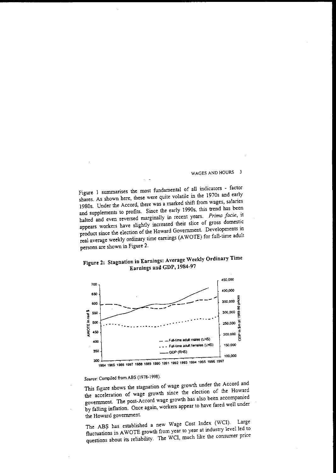Figure I summarises the most fundamental of all indicators - factor shares. As shown here, these were quite volatile in the 1970s and early 1980s. Under the Accord, there was a marked shift from wages, salaries and supplements to profirs. Since the early 1990s, this trend has been halted and even reversed marginally in recent years. *Prima facie,* it appears workers have slightly increased their slice of gross domestic product since the election of the Howard Government. Developments in real average weekly ordinary time earnings (AWOTE) for full-time adult persons are shown in Figure 2.





# *Source:* Compiled from ABS (1978-1998).

This figure shows the stagnation of wage growth under the Accord and the acceleration of wage growth since the election of the Howard government. The post-Accord wage growth has also been accompanied by falling inflation. Once again, workers appear to have fared well under the Howard government.

The ABŞ has established a new Wage Cost Index (WCI). Large fluctuations in AWOTE growth from year to year at industry level led to questions about its reliability. The WCI, much like the consumer price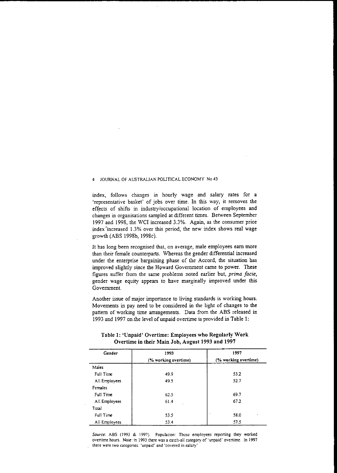index, follows changes in hourly wage and salary rates for a **'representative basket' of jobs over rime. In this way, it removes the** effects of shifts in industry/occupational location of employees and changes in organisations sampled at different times. Between September 1997 and 1998, the WC! increased 3.3%. Again, as the consumer price **index'increased 1.3% over this period, the new index shows real wage** growth (ABS 1998b, 19980).

It has long been recognised that, on average, male employees earn more than their female counterparts. Whereas the gender differential increased under the enterprise bargaining phase of the Accord, the situation has improved slightly since the Howard Government came to power. These **figures suffer from the same problems noted earlier but,** *prima jacie,* gender wage equity appears to have marginally improved under this **Government.**

Another issue of major importance to living standards is working hours. Movements in pay need to be considered in the light of changes to the pattern of working time arrangements. Data from the ABS released in 1993 and 1997 on the level of unpaid overtime is provided in Table 1:

| Gender        | 1993                 | 1997                 |  |
|---------------|----------------------|----------------------|--|
|               | (% working overtime) | (% working overtime) |  |
| Males         |                      |                      |  |
| Full Time     | 49.9                 | 53.2                 |  |
| All Employees | 49.5                 | 52.7                 |  |
| Females       |                      |                      |  |
| Full Time     | 62.5                 | 69.7                 |  |
| All Employees | 61.4                 | 67.2                 |  |
| Total         |                      |                      |  |
| Full Time     | 53.5                 | ٠<br>58.0            |  |
| All Employees | 53.4                 | 57.5                 |  |

### Table 1: 'Unpaid' Overtime: Employees who Regularly Work Overtime **in** their Main Job, August 1993 and 1997

*Source:* **ASS (1993 & 1997) Population: Those employees reporting they worked overtime hours. Note: in 1993 there was a** catch~aJl **category of 'unpaid' overtime. In 1997 there were two categories: 'unpaid' and 'covered in salary'**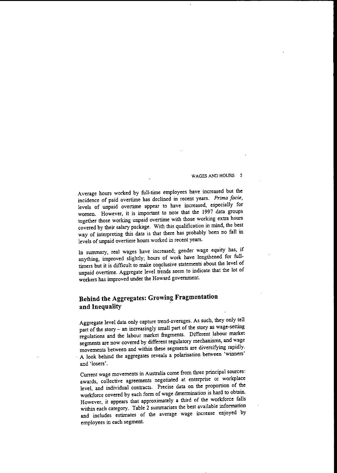Average hours worked by full-time employees have increased but the incidence of paid overtime has declined in recent years. *Prima facie,* levels of unpaid overtime appear to have increased, especially for women. However, it is important to note that the 1997 data groups together those working unpaid overtime with those working extra hours covered by their salary package. With this qualification in mind, the best way of interpreting this data is that there has probably been no fall in levels of unpaid overtime hours worked in recent years.

In summary, real wages have increased; gender wage equity has, if anything, improved slightly; hours of work have lengthened for full-<br>timers but it is difficult to make conclusive statements about the level of unpaid overtime. Aggregate level trends seem to indicate that the lot of workers has improved under the Howard government.

## **Behind the Aggregates: Growing Fragmentation and Inequality .**

Aggregate level data only capture trend-averages. As such, they only tell part of the story - an increasingly small part of the story as wage-setting regulations and the labour market fragments. Different labour market segments are now covered by different regulatory mechanisms, and wage movements between and within these segments are diversifying rapidly. A look behind the aggregates reveals a polarisation between 'winners' **and ·losers'.**

Current wage movements in Australia come from three principal sources: awards, collective agreements negotiated at enterprise or workplace level, and individual contracts. Precise data on the proportion of the workforce covered by each fonn of wage determination is hard to obtain. However, it appears that approximately a third of the workforce falls within each category. Table 2 summarises the best available information and includes estimates of the average wage increase enjoyed by employees in each segment.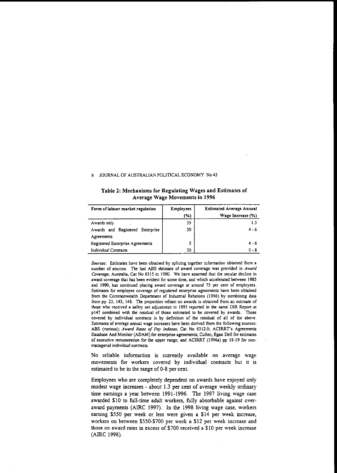| Form of labour market regulation               | <b>Employees</b><br>(%) | <b>Estimated Average Annual</b><br>Wage Increase (%) |  |
|------------------------------------------------|-------------------------|------------------------------------------------------|--|
| Awards only                                    | 35                      | 1.3                                                  |  |
| Awards and Registered Enterprise<br>Agreements | 30                      | $4 - 6$                                              |  |
| Registered Enterprise Agreements               | 5                       | $4 - 6$                                              |  |
| Individual Contracts                           | 30                      | $0 - 8$                                              |  |

#### Table 2: Mechanisms for Regulating Wages and Estimates of Average Wage Movements in 1996

*Sources:* **Estimates have been obtained by splicing together information obtained from a number of sources. The last ABS** ~timate **of award coverage was provided in** *Award Coverage,* **Australia, Cat No 6315 in 1990. We have assumed that the secular decline in award coverage that has been evident fOT some time, and which accelerated between 1985 and 1990. has continued placing award coverage at around 75 per cent of employees. Estimates for employee coverage of registered enterprise agreements have been obtained from the Conunonwealth Depanment of Industrial Relations (1996) by combining data from pp. 23, 143, 148. The proportion reliant on awards is obtained from an estimate of those who received a safety net adjustment in 1995 reported in the same· DIR Report at p147 combined with the residual of those estimated to be covered by awards. Those covered by individual contracts is by definition of the residual of all of the above. Estimates of average annual wage increases have been derived from the following sources: ABS (various);** *Award Rates oJ Pay Indexes,* **Cat No 6312.0; ACIRRT's Agreements Database And Monitor (ADAM) for enterprise agreements; Cullen, Egan Dell for estimates of executive remuneration for the upper range; and ACIRRT (1996a) pp 18-19 for non· managerial individual contracts.**

No reliable information is currently available on average wage movements for workers covered by individual contracts but it is estimated to be in the range of 0-8 per cent.

Employees who are completely dependent on awards have enjoyed only modest wage increases - about 1.3 per cent of average weekly ordinary time earnings a year between 1991-1996. The 1997 living wage case awarded \$10 to full-time adult workers, fully absorbable against overaward payments (AIRC 1997). In the 1998 living wage case, workers earning \$550 per week or less were given a \$14 per week increase, workers on between \$550-\$700 per week a \$12 per week increase and **those on award rates in excess of \$700 received a \$10 per week increase** (AIRC 1998).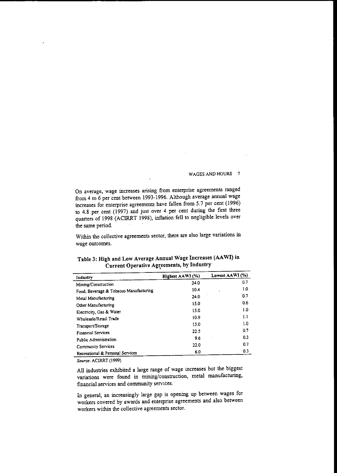**On average, wage increases arising from enterprise agreements ranged** from 4 to 6 per cent between 1993-1996. Although average annual wage increases for enterprise agreements have fallen from 5.7 per cent (1996) to 4.8 per cent (1997) and just over 4 per cent during the fIrst three quarters of 1998 (ACIRRT 1998), inflation fell to negligible levels over the same period.

Within the collective agreements sector, there are also large variations in **wage outcomes.**

| Industry                                               | Highest AAWI (%) | Lowest AAWI (%) |  |
|--------------------------------------------------------|------------------|-----------------|--|
| Mining/Construction                                    | 24.0             | 0.7             |  |
| Food, Beverage & Tobacco Manufacturing                 | 10.4             | 1.0             |  |
| Metal Manufacturing                                    | 24.0             | 0.7             |  |
| Other Manufacturing                                    | 15.0             | 0.6             |  |
| Electricity, Gas & Water                               | 15.0             | 1.0             |  |
| Wholesale/Retail Trade                                 | 10.9             | 1.1             |  |
| Transport/Storage                                      | 15.0             | 1.0             |  |
| <b>Financial Services</b>                              | 22.5             | 0.7             |  |
| Public Administration                                  | 9.6              | 0.3             |  |
|                                                        | 22.0             | 0.7             |  |
| Community Services<br>Recreational & Personal Services | 6.0              | 0.3             |  |

## Table 3: High and Low Average Annual Wage Increases (AAWI) in Current Operative Agreements, by Industry

*Source:* AC1RRT (1999)

All industries exhibited a large range of wage increases but the biggest variations were found in mining/construction, metal manufacturing, fmancial services and community services.

In general, an increasingly large gap is opening up between wages for workers covered by awards and enterprise agreements and also between workers within the collective agreements sector.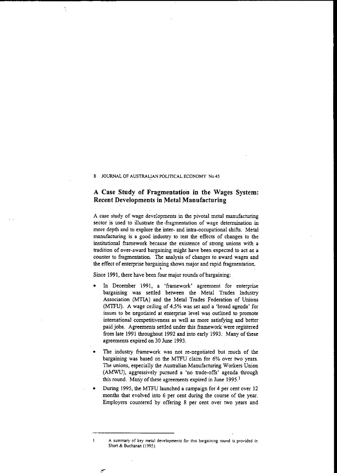### **A Case Study of Fragmentation in the Wages System: Recent Developments in Metal Manufacturing**

A case study of wage developments in the pivotal metal manufacturing sector is used to illustrate the .fragmentation of wage determination in more depth and to explore the inter- and intra-occupational shifts. Metal manufacturing is a good industry to test the effects of changes to the institutional framework because the existence of strong unions with a tradition of over-award bargaining might have been expected to act as a counter to fragmentation. The analysis of changes to award wages and the effect of enterprise bargaining shows major and rapid fragmentation. \

Since 1991, there have been four major rounds of bargaining:

- In December 1991, a 'framework' agreement for enterprise bargaining was settled between the Metal Trades Industry Association (MTIA) and the Metal Trades Federation of Unions (MTFU). A wage ceiling of 4.5% was set and a 'broad agenda' for issues to be negotiated at enterprise level was outlined to promote international competitiveness as well as more satisfying and better paid jobs. Agreements settled under this framework were registered from late 1991 throughout 1992 and into early 1993. Many of these agreements expired on 30 June 1993.
- The industry framework was not re-negotiated but much of the bargaining was based on the MTFU claim for 6% over two years. The unions, especially the Australian Manufacturing Workers Union (AMWU), aggressively pursued a 'no trade-offs' agenda through this round. Many of these agreements expired in June  $1995.1$
- During 1995, the MTFU launched a campaign for 4 per cent over 12 months that evolved into 6 per cent during the course of the year. Employers countered by offering 8 per cent over two years and

**A summary of key metal developments for this bargaining round is provided in Short & Buchanan (1995).**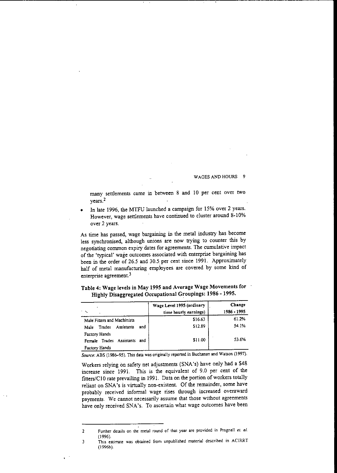many settlements came in between 8 and 10 per cent over two years.<sup>2</sup>

In late 1996, the MTFU launched a campaign for 15% over 2 years. However, wage settlements have continued to cluster around 8-10% **over 2 years.**

As time has passed, wage bargaining in the metal industry has become less synchronised, although unions are now trying to counter this by negotiating common expiry dates for agreements. The cumulative impact of the 'typical' wage outcomes associated with enterprise bargaining has been in the order of 26.5 and 30.5. per cent since 1991. Approximately half of metal manufacturing empioyees are covered by some kind of **enterprise agreement.3**

|                                               | Wage Level 1995 (ordinary<br>time hourly earnings) | Change<br>1986 - 1995 |
|-----------------------------------------------|----------------------------------------------------|-----------------------|
| Male Fitters and Machinists                   | \$16.63                                            | 61.2%                 |
| Assistants<br>and<br>Trades<br>Malc           | \$12.89                                            | 54.1%                 |
| Factory Hands<br>Female Trades Assistants and | \$11.00                                            | 53.6%                 |
| Factory Hands                                 |                                                    |                       |

Table 4: Wage levels in May 1995 and Average Wage Movements for Highly Disaggregated Occupational Groupings: 1986 -1995.

*Source:* **ABS** (198~95). **This data was originally reported in Buchanan and Watson (1997).**

Workers relying on safety net adjustments (SNA's) have only had a \$48 increase since 1991. This is the equivalent of 9.0 per cent of the fitters/CIO rate prevailing in 1991. Data on the portion of workers totally reliant on SNA's is virtually non-existent. Of the remainder, some have probably received informal wage rises through increased overaward **payments. We cannot necessarily assume that those without agreements** have only received SNA's. To ascertain what wage outcomes have been

**<sup>2</sup> Further details on the metal round of that year are provided in Pragnell el. lJl.** (1996).

**<sup>3</sup> This estimate was obtained from unpublished material described in AC1RRT** (I 996b).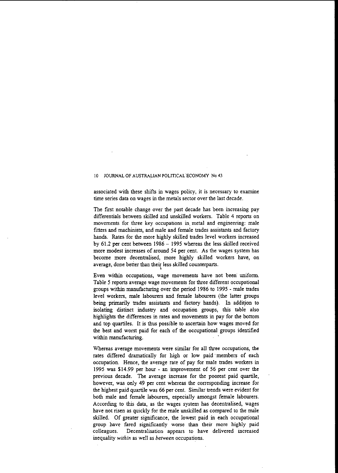$\mathbf{I}$ 

**associated with these shifts in wages policy, it is necessary to examine** time series data on wages in the metals sector over the last decade,

The first notable change over the past decade has been increasing pay differentials between skilled and unskilled workers, Table 4 reports on movements for three key occupations in, metal and engineering: male fitters and machinists, and male and female trades assistants and factory hands. Rates for the more highly skilled trades level workers increased by 61.2 per cent between 1986 - 1995 whereas the less skilled received more modest increases of around 54 per cent. As the wages system has become more decentralised, more highly skilled workers have, on average, done better than their less skilled counterparts.

**Even within occupations, wage movements have not been" unifonn.** Table 5 reports average wage movements for three different occupational groups within manufacturing over the period 1986 to 1995 - male trades level workers, male labourers and female labourers (the latter groups being primarily trades assistants and factory hands). In addition to isolating distinct industry and occupation groups, this table also highlights the differences in rates and movements in pay for the bottom and top quartiles. It is thus possible to ascertain how wages moved for the best and worst paid for each of the occupational groups identified within manufacturing.

**Whereas average movements were similar for all three occupations, the** rates differed dramatically for high or low paid' members of each occupation. Hence, the average rate of pay for male trades workers in 1995 was \$14.99 per hour - an improvement of 56 per cent over the previous decade. The average increase for the poorest paid quartile, however, was only 49 per cent whereas the corresponding increase for the highest paid quartile was 66 per cent. Similar trends were evident for both male and female labourers, especially amongst female labourers. According to this data, as the wages system has decentralised, wages have not risen as quickly for the male unskilled as compared to the male skilled. Of greater significance, the lowest paid in each occupational group have fared significantly worse than their more highly paid **colleagues. Decentralisation appears to have delivered increased** inequality *within* as well as *between* occupations.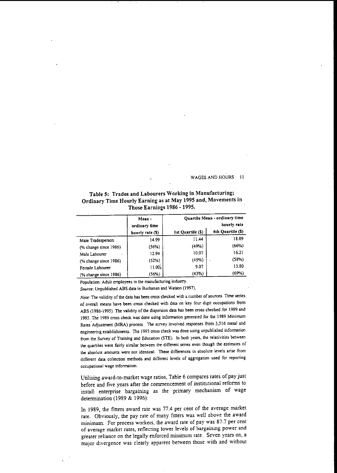Table 5: Trades and Labourers Working in Manufacturing; Ordinary Time Hourly Earning as at May 1995 and, Movements in Those Earnings 1986 - 1995.

|                       | Mean-<br>ordinary time<br>hourly rate (S) |                   | Quartile Mean - ordinary time<br>hourly rate |
|-----------------------|-------------------------------------------|-------------------|----------------------------------------------|
|                       |                                           | 1st Quartile (\$) | 4th Quartile (S)                             |
| Male Tradesperson     | 14.99                                     | 11.44             | 18.89                                        |
| (% change since 1986) | (56%)                                     | (49%)             | (66%)                                        |
| Male Labourer         | 12.94                                     | 10.07             | 16.21                                        |
| (% change since 1986) | (52%)                                     | (45%)             | (58%)                                        |
| Female Labourer       | 11.00.                                    | 9.07              | 13.80                                        |
| (% change since 1986) | (56%)                                     | (43%)             | (69%)                                        |

Population: Adult employees in the manufacturing industry.

*Source:* Unpublished ABS data in Buchanan and Watson (1997).

*Note:* The validity of the data has been cross checked with a number of sources. Time series of overall means have been cross checked with data on key four digit occupations from ABS (1986-1995). The validity of the dispersion data has been cross checked for 1989 and 1993. The 1989 cross check was done using information generated for the 1989 Minimum Rates Adjustment (MRA) process. The survey involved responses from 3,516 metal and engineering establishments. The 1993 cross check was done using unpublished information from the Survey of Training and Education (STE). In both years, the relativities between the quartiles were fairly similar between the different series even though the estimates of the absolute amounts were not identical. These differences in absolute levels arise from different data collection methods and different levels of aggregation used for reporting occupational wage information.

Utilising award-ta-market wage ratios, Table 6 compares rates of pay just before and five years after the commencement of institutional reforms to install enterprise bargaining as the primary mechanism of wage determination (1989 & 1996):

In 1989, the fitters award rate was 77.4 per cent of the average market rate. Obviously, the pay rate of many fitters was well above the award minimum. For process workers, the award rate of pay was 87.7 per cent of average market rates, reflecting lower levels of bargaining power and greater reliance on the legally enforced minimum rate. Seven years on, a major divergence was clearly apparent between those with and without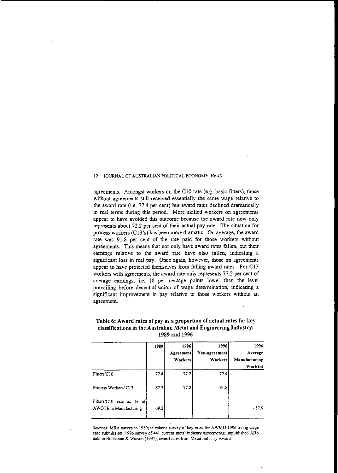agreements. Amongst workers on the CIO rate (e.g. basic fitters), those without agreements still received essentially the same wage relative to the award rate (i.e. 77.4 per cent) but award rates declined dramatically in real terms during this period. More skilled workers on agreements appear to have avoided this outcome because the award rate now only represents about 72.2 per cent of their actual pay rate. The situation for process workers (C13 's) has been more dramatic. On average, the award rate was 91.8 per cent of the rate paid for those workers without agreements. This means that not only have award rates fallen, but their earnings relative to the award rate have also fallen, indicating a significant loss in real pay. Once again, however, those on agreements appear to have protected themselves from falling award rates. For C13 workers with agreements, the award rate only represents 77.2 per cent of average earnings, i.e. 10 per centage points lower than the level prevailing before decentralisation of wage determination; indicating a significant improvement in pay relative to those workers without an agreement.

|                                                     | 1989 | 1996<br>Agreement<br>Workers | 1996<br>Non-agreement<br>Workers | 1996<br>Average<br>Manufacturing<br>Workers |
|-----------------------------------------------------|------|------------------------------|----------------------------------|---------------------------------------------|
| Fitters/C10                                         | 77.4 | 72.2                         | 77.4                             |                                             |
| Process Workers/C13                                 | 87.7 | 77.2                         | 91.8                             |                                             |
| Fitters/C10 rate as % of<br>A WOTE in Manufacturing | 69.2 |                              |                                  | .57.9                                       |

### Table 6: Award rates of pay as a proportion of actual rates for key classifications in the Australian Metal and Engineering Industry: 1989 and 1996

*Sources:* MRA survey in 1989; telephone survey of key rates for AWMU 1996 living wage case submission; 1996 survey of 441 current metal industry agreements; unpublished ABS data in Buchanan & Watson (1997); award rates from Metal Industry Award.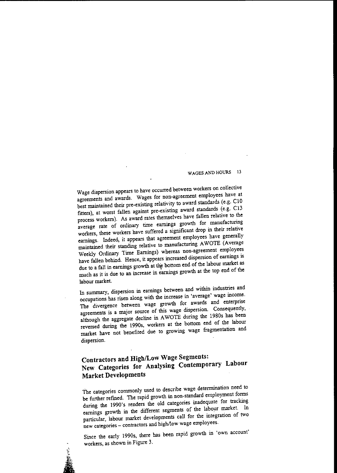Wage dispersion appears to have occurred between workers on collective agreements and awards. Wages for non-agreement employees have at best maintained their pre-existing relativity to award standards (e.g. CI<sup>O</sup> fitters), at worst fallen against pre-existing award standards (e.g. Cl3 process workers). As award rates themselves have fallen relative to the average rate of ordinary time earnings growth for manufacturing workers, these workers have suffered a significant drop in their relative earnings. Indeed, it appears that agreement employees have generally maintained their standing relative to manufacturing AWOTE (Average Weekly Ordinary Time Earnings) whereas non-agreement employees have fallen behind. Hence, it appears increased dispersion of earnings is due to a fall in earnings growth at the bottom end of the labour market as much as it is due to an increase in earnings growth at the top end of the labour market.

In summary, dispersion in earnings between and within industries and occupations has risen along with the increase in 'average' wage income. The divergence between wage growth for awards and enterprise agreements is a major source of this wage dispersion. Consequently, although the aggregate decline in AWOTE during the 1980s has been reversed during the 1990s, workers at the bottom end of the labour market have not benefited due to growing wage fragmentation and dispersion.

## **Contractors and HighlLow Wage Segments: New Categories for Analysing Contemporary Labour Market Developments**

The categories commonly used to describe wage determination need to be further refmed. The rapid growth in non-standard employment forms during the 1990's renders the old categories inadequate for tracking earnings growth in the different segments of the labour market. In particular, labour market developments call for the integration of two **new categories - contractors and high/low wage employees.**

Since the early 1990s, there has been rapid growth in 'own account' workers, as shown in Figure 3.

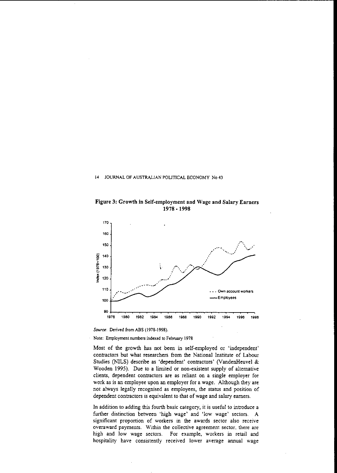Figure 3: Growth in Self-employment and Wage and Salary Earners 1978 - 1998



*Source:* Derived from ABS (1978-1998).

**Note: Employment numbers indexed to February 1978**

Most of the growth has not been in self-employed or 'independent' contractors but what researchers from the National Institute of Labour Studies (NILS) describe as 'dependent' contractors' (VandenHeuvel & Wooden 1995). Due to a limited or non-existent supply of alternative clients, dependent contractors are as reliant on a single employer for work as is an employee upon an employer for a wage. Although they are not always legally recognised as employees, the status and position of dependent contractors is equivalent to that of wage and salary earners.

In addition to adding this fourth basic category, it is useful to introduce a further distinction between 'high wage' and 'low wage' sectors. A **significant proportion of workers in the awards sector also receive overaward payments. Vlithin the collective agreement sector, there are** high and low wage sectors. For example, workers in retail and **hospitality have consistently received lower average annual wage**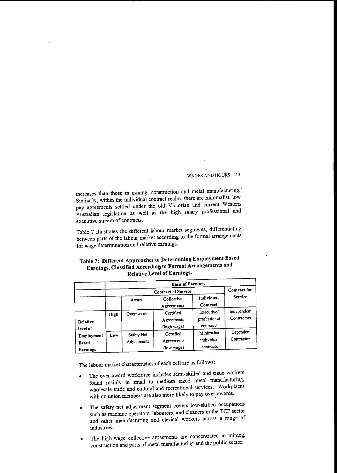increases than those in mining, construction and metal manufacturing.' Similarly, within the individual contract realm, there are minimalist, low pay agreements settled under the old Victorian and current Western Australian legislation as well as the high salary professional and **executive stream of contracts.**

Table 7 illustrates the different labour market segments, differentiating between parts of the labour market according to the formal arrangements **for wage detennination and relative earnings.**

## Table 7: Different Approaches to Determining Employment Based Earnings, Classified According:to Formal Arrangements and Relative Level of Earnings.

|                                        |      | <b>Basis of Earnings</b><br><b>Contract of Service</b> |                                        |                                         |                            |
|----------------------------------------|------|--------------------------------------------------------|----------------------------------------|-----------------------------------------|----------------------------|
|                                        |      |                                                        |                                        |                                         | Contract for               |
|                                        |      | Award                                                  | Collective<br>Agreements               | Individual<br>Contract                  | Service                    |
| <b>Relative</b><br>level of            | High | Overawards                                             | Certified<br>Agreements<br>(high wage) | Executive/<br>professional<br>contracts | Independent<br>Contractors |
| Employment<br><b>Based</b><br>Earnings | Low  | Safety Net<br>Adjustments                              | Certified<br>Agreements<br>(low wage)  | Minimalist<br>individual<br>contracts   | Dependent<br>Contractors   |

The labour market characteristics of each cell are as follows:

- The over-award workforce includes semi-skilled and trade workers found mainly in small to medium sized metal manufacturing, wholesale trade and cultural and recreational services. Workplaces with no union members are also more likely to pay over-awards.
- The safety net adjustment segment covers low-skilled occupations such as machine operators, labourers, and cleaners in the TCF sector and other manufacturing and clerical workers across a range of **industries.**
- The high-wage collective agreements are concentrated in mining, construction and parts of metal manufacturing and the public sector.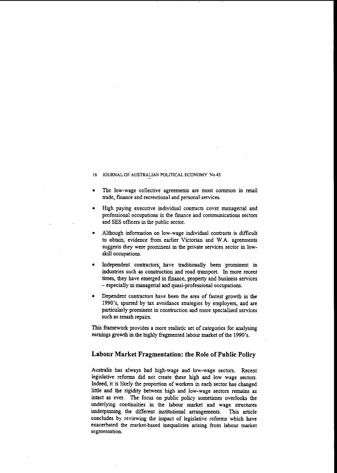- The low-wage collective agreements are most common in retail trade, fInance and recreational and personal services.
- High paying executive individual contracts cover managerial and **professional occupations in the [mance and communications sectors** and SES officers in the public sector.
- Although information on low-wage individual contracts is difficult to obtain, evidence from earlier Victorian and W.A. agreements suggests they were prominent in the private services sector in lowskill occupations.
- Independent contractors, have traditionally been prominent in industries such as construction and road transport. In more recent times, they have emerged in fmance, property and business services - especially in managerial and quasi-professional occupations.
- Dependent contractors have been the area of fastest growth in the 1990's, spurred by tax avoidance strategies by employers, and are particularly prominent in construction and more specialised services such as smash repairs.

This framework provides a more realistic set of categories for analysing earnings growth in the highly fragmented labour market of the 1990's.

### **Labour Market Fragmentation: the Role of Public Policy**

Australia has always had high-wage and low-wage sectors. Recent legislative reforms did not create these high and low wage sectors. Indeed, it is likely the proportion of workers in each sector has changed little and the rigidity between high and low-wage sectors remains as intact as ever. The focus on public policy sometimes overlooks the underlying continuities in the labour market and wage structures underpinning the different institutional arrangements. This article concludes by reviewing the impact of legislative reforms which have exacerbated the market-based inequalities arising from labour market **segmentation.**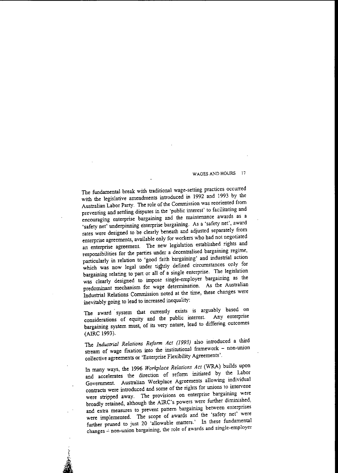The fundamental break with traditional wage-setting practices occurred with the legislative amendments introduced in 1992 and 1993 by the Australian Labor Party. The role of the Commission was reoriented from preventing and settling disputes in the 'public interest' to facilitating and encouraging enterprise bargaining and the maintenance awards as a 'safety net' underpinning enterprise bargaining. As a 'safety net', award rates were designed to be clearly beneath and adjusted separately from enterprise agreements, available only for workers who had not negotiated an enterprise agreement. The new legislation established rights and responsibilities for the parties under a decentralised bargaining regime, particularly in relation to 'good faith bargaining' and industrial action which was now legal under tightly defined circumstances only for bargaining relating to part or all of a single enterprise. The legislation was clearly designed to impose single-employer bargaining as the predominant mechanism for wage determination. As the Australian Industrial Relations Commission noted at the time, these changes were inevitably going to lead to increased inequality:

The award system that currently exists is arguably based on considerations of equity and the public interest. bargaining system must, of its very nature, lead to differing outcomes (AIRC 1993).

The *Industrial Relations Reform Act* (1993) also introduced a third stream of wage fixation into the institutional framework  $-$  non-union collective agreements or 'Enterprise Flexibility Agreements'.

In many ways, the 1996 *Workplace Relations Act* (WRA) builds upon and accelerates the direction of reform initiated by the Labor Government. Australian Workplace Agreements allowing individual contracts were introduced and some of the rights for unions to intervene **were stripped away. The provisions on enterprise bargaining were** broadly retained, although the AIRC's powers were further diminished, **and extra measures to prevent pattern bargaining between enterprises** were implemented. The scope of awards and the 'safety net' were further pruned *to* just 20 'allowable matters.' In these fundamental **changes"':' non-union bargaining, the role of awards and single-employer**

;.

j<br>ja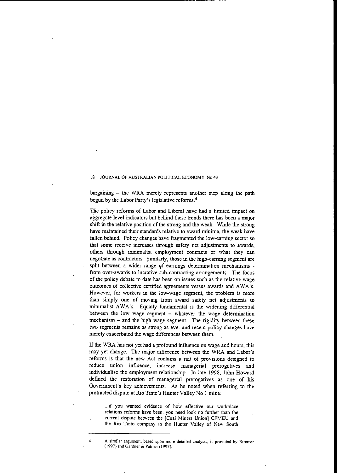bargaining - the WRA merely represents another step along the path begun by the Labor Party's legislative reforms <sup>4</sup>

The policy reforms of Labor and Liberal have had a limited impact on aggregate level indicators but behind these trends there has been a major shift in the relative position of the strong and the weak. While the strong **have maintained their standards relative to award minima, the weak have** fallen behind. Policy changes have fragmented the low-earning sector so that some receive increases through safety net adjustments to awards, others through minimalist employment contracts or what they can negotiate as contractors. Similarly, those in the high-earning segment are split between a wider range of earnings determination mechanisms **from over-awards to lucrative sub-contracting arrangements. The focus** of the policy debate to date has been on issues such as the relative wage outcomes of collective certified agreements versus awards and AWA's. However, for workers in the low-wage segment, the problem is more than simply one of moving from award safety net adjustments to minimalist AWA's. Equally fundamental is the widening differential between the low wage segment - whatever the wage determination  $mechanism - and the high wage segment. The rigidity between these$ two segments remains as strong as ever and recent policy changes have merely exacerbated the wage differences between them.

**If** the WRA has not yet had a profound influence on wage and hours, this may yet change. The major difference between the WRA and Labor's **reforms is that the new Act contains a raft of provisions designed to reduce union influence, increase managerial prerogatives and** individualise the employment relationship. In late 1998, John Howard defmed the restoration of managerial prerogatives as one of his Government's key achievements. As he noted when referring to the protracted dispute at Rio Tinto's Hunter Valley No I mine:

**...if you wanted evidence of ho·w effective our workplace relations refoms have been, you need look no further than the current dispute between the [Coal Miners Union] CFMEU and the ·Rio Tinto company in the Hunter Valley of New South**

<sup>4</sup> **A similar argument. based upon more detailed analysis. is provided by Rimmer (1997) and Gardner & Palmer (1997).**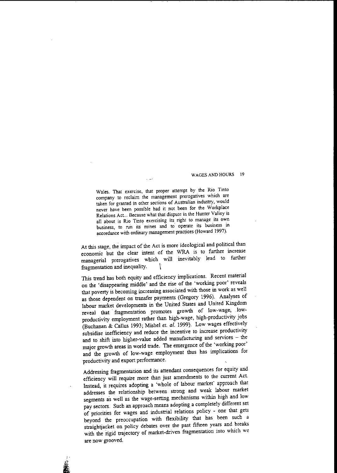**Wales. That exercise, that proper attempt by the Rio Tinto company to reclaim the management prerogatives which are taken for granted in other sections of Australian industry, would never have been possible had it not been for the Workplace Relations Act... Because what that dispute in the Hunter Valley is all about is Rio Tinto exercising its right to manage its own business, to run its' mines and to' operate lts business in accordance with ordinary management practices (Howard 1997).**

At this stage, the impact of the Act is more ideological and political than economic but the clear intent of the WRA is to further increase managerial prerogatives which will inevitably lead to further fragmentation and inequality.  $\qquad$ 

This trend has both equity and efficiency implications. Recent material on the 'disappearing middle' and the rise of the 'working poor' reveals that poverty is becoming increasing associated with those in work as well as those dependent on transfer payments (Gregory 1996). Analyses of labour market developments in the United States and United Kingdom reveal that' fragmentation promotes growth of low-wage, .lowproductivity employment rather than high-wage, high-productivity jobs (Buchanan & Callus 1993; Mishel *et. al.* 1999). Low wages effectively subsidise inefficiency and reduce the incentive to increase productivity and to shift into higher-value added manufacturing and services - the major growth areas in world trade. The emergence of the 'working poor' and the growth of low-wage employment thus has implications for productivity and export performance.

Addressing fragmentation and its attendant consequences for equity and efficiency will require more than just amendments to the current Act. Instead, it requires adopting a 'whole of labour market' approach that addresses the relationship between strong and weak labour market segments as well as the wage-setting mechanisms within high and low pay sectors. Such an approach means adopting a completely different set of priorities for wages and industrial relations policy - one that gets beyond the preoccupation with flexibility that has been such a straightjacket on policy debates over the past fifteen years and breaks with the rigid trajectory of market-driven fragmentation into which we **are now grooved.**

,. **, 2006**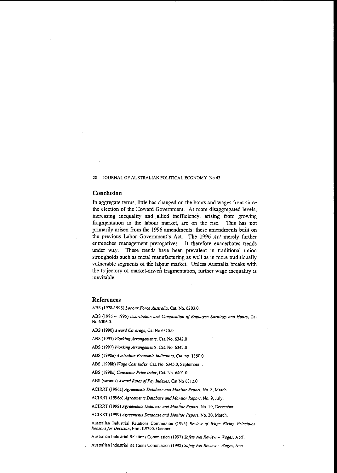#### **Conclusion**

In aggregate terms, little bas changed on the hours and wages front since the election of the Howard Government. At more disaggregated levels, increasing inequality and allied inefficiency, arising from growing fragmentation in the labour market, are on the rise. This has not primarily arisen from the 1996 amendments: these amendments built on the previous Labor Government's Act. The 1996 *Act* merely further **entrenches management prerogatives. It therefore exacerbates trends** under way. These trends have been prevalent in traditional union strongholds sucb as metal manufacturing as well as in more traditionally vulnerable segments of the labour market. Unless Australia breaks with the trajectory of market-driven fragmentation, further wage inequality is inevitable.

#### **References**

**ABS (1978-1998)** *Labour Force Australia,* **Cat. No. 6203.0.**

**ABS (1986 - 1995)** *Distribution and Composition ofEmployee Earnings and Hours,* **Cat** No 6306.0.

ABS (1990) *Award Coverage,* Cat No 6315.0

**ABS (1993)** *Working Arrangements,* **Cat. No. 6342.0**

**ASS (1997)** *Working Arrangements,* **Cat. No. 6342.0**

**ABS (1998a)** *Australian Economic Indicators,* **Cat. no. 1350.0.**

ABS (1998b) Wage Cost Index, Cat. No. 6345.0, September.

**ABS (l998c)** *Consumer Price Index,* **Cat. No. 6401.0.**

**ABS (various)** *Award Rates a/Pay Indexes,* **Cat No 6312.0**

**ACIRRT (I996a)** *Agreements Database and Monilor Report,* **No. 8. March.**

**AClRRT** (1996b) *Agreemenzs Database and Monitor Report,* **No. 9, July.**

**ACIRRT (199&)** *Agreemenzs Database and Monitor Report,* **No. 19, December.**

**ACIRRT (1999)** *Agreements Database and Monitor Report,* **No. 20, March.**

Australian Industrial Relations Commission (1993) Review of Wage Fixing Principles. *Reasonsfor Decision,* **Print K9700. October.**

**Australian Industrial Relations Commission (1997)** *Safety Net Review* **-** *Wages,* **ApriL**

**Australian Industrial Relations Commission (1998)** *Safety Net Review* **-** *Wages,* **April.**